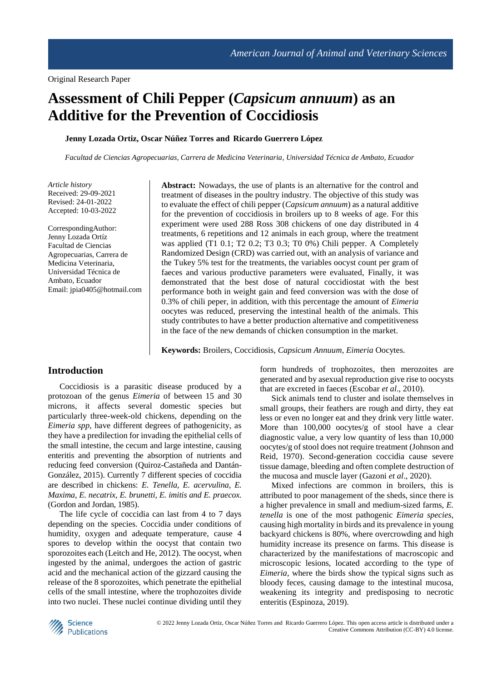# **Assessment of Chili Pepper (***Capsicum annuum***) as an Additive for the Prevention of Coccidiosis**

#### **Jenny Lozada Ortiz, Oscar Núñez Torres and Ricardo Guerrero López**

*Facultad de Ciencias Agropecuarias, Carrera de Medicina Veterinaria, Universidad Técnica de Ambato, Ecuador*

*Article history* Received: 29-09-2021 Revised: 24-01-2022 Accepted: 10-03-2022

CorrespondingAuthor: Jenny Lozada Ortíz Facultad de Ciencias Agropecuarias, Carrera de Medicina Veterinaria, Universidad Técnica de Ambato, Ecuador Email: jpia0405@hotmail.com **Abstract:** Nowadays, the use of plants is an alternative for the control and treatment of diseases in the poultry industry. The objective of this study was to evaluate the effect of chili pepper (*Capsicum annuum*) as a natural additive for the prevention of coccidiosis in broilers up to 8 weeks of age. For this experiment were used 288 Ross 308 chickens of one day distributed in 4 treatments, 6 repetitions and 12 animals in each group, where the treatment was applied (T1 0.1; T2 0.2; T3 0.3; T0 0%) Chili pepper. A Completely Randomized Design (CRD) was carried out, with an analysis of variance and the Tukey 5% test for the treatments, the variables oocyst count per gram of faeces and various productive parameters were evaluated, Finally, it was demonstrated that the best dose of natural coccidiostat with the best performance both in weight gain and feed conversion was with the dose of 0.3% of chili peper, in addition, with this percentage the amount of *Eimeria* oocytes was reduced, preserving the intestinal health of the animals. This study contributes to have a better production alternative and competitiveness in the face of the new demands of chicken consumption in the market.

**Keywords:** Broilers, Coccidiosis, *Capsicum Annuum*, *Eimeria* Oocytes.

#### **Introduction**

Coccidiosis is a parasitic disease produced by a protozoan of the genus *Eimeria* of between 15 and 30 microns, it affects several domestic species but particularly three-week-old chickens, depending on the *Eimeria spp*, have different degrees of pathogenicity, as they have a predilection for invading the epithelial cells of the small intestine, the cecum and large intestine, causing enteritis and preventing the absorption of nutrients and reducing feed conversion (Quiroz-Castañeda and Dantán-González, 2015). Currently 7 different species of coccidia are described in chickens: *E. Tenella, E. acervulina, E. Maxima, E. necatrix, E. brunetti, E. imitis and E. praecox.* (Gordon and Jordan, 1985).

The life cycle of coccidia can last from 4 to 7 days depending on the species. Coccidia under conditions of humidity, oxygen and adequate temperature, cause 4 spores to develop within the oocyst that contain two sporozoites each (Leitch and He, 2012). The oocyst, when ingested by the animal, undergoes the action of gastric acid and the mechanical action of the gizzard causing the release of the 8 sporozoites, which penetrate the epithelial cells of the small intestine, where the trophozoites divide into two nuclei. These nuclei continue dividing until they

form hundreds of trophozoites, then merozoites are generated and by asexual reproduction give rise to oocysts that are excreted in faeces (Escobar *et al*., 2010).

Sick animals tend to cluster and isolate themselves in small groups, their feathers are rough and dirty, they eat less or even no longer eat and they drink very little water. More than 100,000 oocytes/g of stool have a clear diagnostic value, a very low quantity of less than 10,000 oocytes/g of stool does not require treatment (Johnson and Reid, 1970). Second-generation coccidia cause severe tissue damage, bleeding and often complete destruction of the mucosa and muscle layer (Gazoni *et al*., 2020).

Mixed infections are common in broilers, this is attributed to poor management of the sheds, since there is a higher prevalence in small and medium-sized farms, *E. tenella* is one of the most pathogenic *Eimeria species*, causing high mortality in birds and its prevalence in young backyard chickens is 80%, where overcrowding and high humidity increase its presence on farms. This disease is characterized by the manifestations of macroscopic and microscopic lesions, located according to the type of *Eimeria*, where the birds show the typical signs such as bloody feces, causing damage to the intestinal mucosa, weakening its integrity and predisposing to necrotic enteritis (Espinoza, 2019).

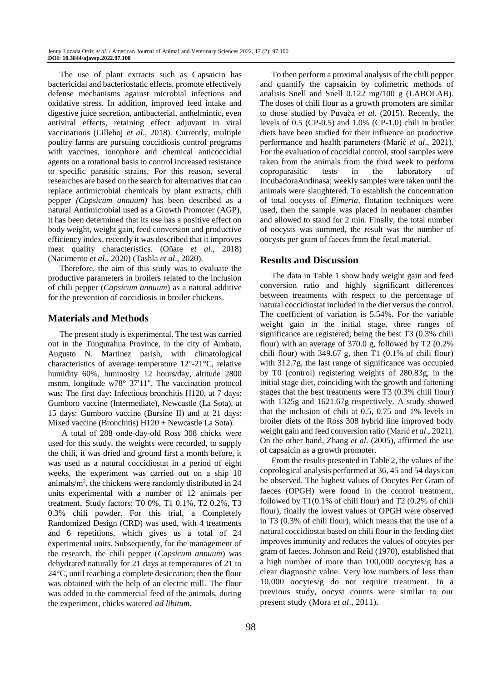The use of plant extracts such as Capsaicin has bactericidal and bacteriostatic effects, promote effectively defense mechanisms against microbial infections and oxidative stress. In addition, improved feed intake and digestive juice secretion, antibacterial, anthelmintic, even antiviral effects, retaining effect adjuvant in viral vaccinations (Lillehoj *et al*., 2018). Currently, multiple poultry farms are pursuing coccidiosis control programs with vaccines, ionophore and chemical anticoccidial agents on a rotational basis to control increased resistance to specific parasitic strains. For this reason, several researches are based on the search for alternatives that can replace antimicrobial chemicals by plant extracts, chili pepper *(Capsicum annuum)* has been described as a natural Antimicrobial used as a Growth Promoter (AGP), it has been determined that its use has a positive effect on body weight, weight gain, feed conversion and productive efficiency index, recently it was described that it improves meat quality characteristics. (Oñate *et al*., 2018) (Nacimento *et al*., 2020) (Tashla *et al*., 2020).

Therefore, the aim of this study was to evaluate the productive parameters in broilers related to the inclusion of chili pepper (*Capsicum annuum*) as a natural additive for the prevention of coccidiosis in broiler chickens.

## **Materials and Methods**

The present study is experimental. The test was carried out in the Tungurahua Province, in the city of Ambato, Augusto N. Martinez parish, with climatological characteristics of average temperature 12°-21°C, relative humidity 60%, luminosity 12 hours/day, altitude 2800 msnm, longitude w78° 37'11", The vaccination protocol was: The first day: Infectious bronchitis H120, at 7 days: Gumboro vaccine (Intermediate), Newcastle (La Sota), at 15 days: Gumboro vaccine (Bursine II) and at 21 days: Mixed vaccine (Bronchitis) H120 + Newcastle La Sota).

A total of 288 onde-day-old Ross 308 chicks were used for this study, the weights were recorded, to supply the chili, it was dried and ground first a month before, it was used as a natural coccidiostat in a period of eight weeks, the experiment was carried out on a ship 10 animals/m<sup>2</sup> , the chickens were randomly distributed in 24 units experimental with a number of 12 animals per treatment. Study factors: T0 0%, T1 0.1%, T2 0.2%, T3 0.3% chili powder. For this trial, a Completely Randomized Design (CRD) was used, with 4 treatments and 6 repetitions, which gives us a total of 24 experimental units. Subsequently, for the management of the research, the chili pepper (*Capsicum annuum*) was dehydrated naturally for 21 days at temperatures of 21 to 24°C, until reaching a complete desiccation; then the flour was obtained with the help of an electric mill. The flour was added to the commercial feed of the animals, during the experiment, chicks watered *ad libitum.*

To then perform a proximal analysis of the chili pepper and quantify the capsaicin by colimetric methods of analisis Snell and Snell 0.122 mg/100 g (LABOLAB). The doses of chili flour as a growth promoters are similar to those studied by Puvača *et al*. (2015). Recently, the levels of 0.5 (CP-0.5) and 1.0% (CP-1.0) chili in broiler diets have been studied for their influence on productive performance and health parameters (Marić *et al*., 2021). For the evaluation of coccidial control, stool samples were taken from the animals from the third week to perform coproparasitic tests in the laboratory of IncubadoraAndinasa; weekly samples were taken until the animals were slaughtered. To establish the concentration of total oocysts of *Eimeria*, flotation techniques were used, then the sample was placed in neubauer chamber and allowed to stand for 2 min. Finally, the total number of oocysts was summed, the result was the number of oocysts per gram of faeces from the fecal material.

## **Results and Discussion**

The data in Table 1 show body weight gain and feed conversion ratio and highly significant differences between treatments with respect to the percentage of natural coccidiostat included in the diet versus the control. The coefficient of variation is 5.54%. For the variable weight gain in the initial stage, three ranges of significance are registered; being the best T3 (0.3% chili flour) with an average of 370.0 g, followed by T2 (0.2% chili flour) with  $349.67$  g, then T1  $(0.1\% \text{ of }$ chili flour) with 312.7g, the last range of significance was occupied by T0 (control) registering weights of 280.83g, in the initial stage diet, coinciding with the growth and fattening stages that the best treatments were T3 (0.3% chili flour) with 1325g and 1621.67g respectively. A study showed that the inclusion of chili at 0.5, 0.75 and 1% levels in broiler diets of the Ross 308 hybrid line improved body weight gain and feed conversion ratio (Marić *et al*., 2021). On the other hand, Zhang *et al*. (2005), affirmed the use of capsaicin as a growth promoter.

From the results presented in Table 2, the values of the coprological analysis performed at 36, 45 and 54 days can be observed. The highest values of Oocytes Per Gram of faeces (OPGH) were found in the control treatment, followed by T1(0.1% of chili flour) and T2 (0.2% of chili flour), finally the lowest values of OPGH were observed in T3 (0.3% of chili flour), which means that the use of a natural coccidiostat based on chili flour in the feeding diet improves immunity and reduces the values of oocytes per gram of faeces. Johnson and Reid (1970), established that a high number of more than 100,000 oocytes/g has a clear diagnostic value. Very low numbers of less than 10,000 oocytes/g do not require treatment. In a previous study, oocyst counts were similar to our present study (Mora *et al*., 2011).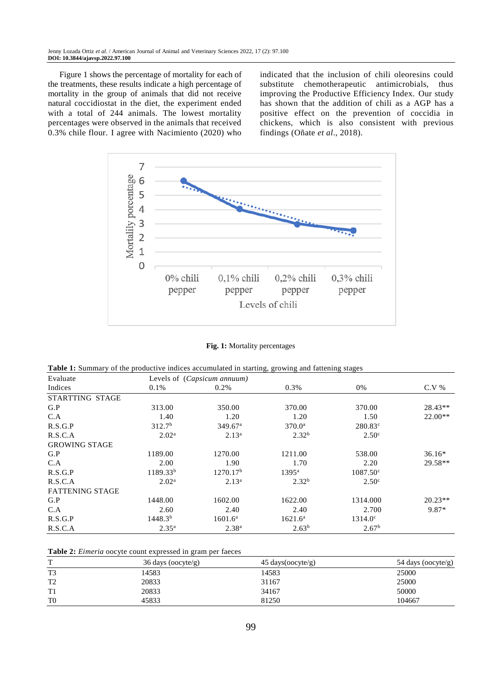Figure 1 shows the percentage of mortality for each of the treatments, these results indicate a high percentage of mortality in the group of animals that did not receive natural coccidiostat in the diet, the experiment ended with a total of 244 animals. The lowest mortality percentages were observed in the animals that received 0.3% chile flour. I agree with Nacimiento (2020) who

indicated that the inclusion of chili oleoresins could substitute chemotherapeutic antimicrobials, thus improving the Productive Efficiency Index. Our study has shown that the addition of chili as a AGP has a positive effect on the prevention of coccidia in chickens, which is also consistent with previous findings (Oñate *et al*., 2018).



**Fig. 1:** Mortality percentages

**Table 1:** Summary of the productive indices accumulated in starting, growing and fattening stages

| Evaluate               | Levels of ( <i>Capsicum annuum</i> ) |                      |                   |                   |           |
|------------------------|--------------------------------------|----------------------|-------------------|-------------------|-----------|
| Indices                | 0.1%                                 | $0.2\%$              | 0.3%              | 0%                | $C.V.$ %  |
| STARTTING STAGE        |                                      |                      |                   |                   |           |
| G.P                    | 313.00                               | 350.00               | 370.00            | 370.00            | $28.43**$ |
| C.A                    | 1.40                                 | 1.20                 | 1.20              | 1.50              | $22.00**$ |
| R.S.G.P                | 312.7 <sup>b</sup>                   | 349.67 <sup>a</sup>  | $370.0^{\rm a}$   | $280.83^{\circ}$  |           |
| R.S.C.A                | 2.02 <sup>a</sup>                    | $2.13^a$             | 2.32 <sup>b</sup> | 2.50 <sup>c</sup> |           |
| <b>GROWING STAGE</b>   |                                      |                      |                   |                   |           |
| G.P                    | 1189.00                              | 1270.00              | 1211.00           | 538.00            | $36.16*$  |
| C.A                    | 2.00                                 | 1.90                 | 1.70              | 2.20              | 29.58**   |
| R.S.G.P                | $1189.33^{b}$                        | 1270.17 <sup>b</sup> | $1395^{\rm a}$    | $1087.50^{\circ}$ |           |
| R.S.C.A                | 2.02 <sup>a</sup>                    | 2.13 <sup>a</sup>    | 2.32 <sup>b</sup> | 2.50 <sup>c</sup> |           |
| <b>FATTENING STAGE</b> |                                      |                      |                   |                   |           |
| G.P                    | 1448.00                              | 1602.00              | 1622.00           | 1314.000          | $20.23**$ |
| C.A                    | 2.60                                 | 2.40                 | 2.40              | 2.700             | 9.87*     |
| R.S.G.P                | 1448.3 <sup>b</sup>                  | $1601.6^{\rm a}$     | $1621.6^{\rm a}$  | $1314.0^{\circ}$  |           |
| R.S.C.A                | $2.35^{\rm a}$                       | 2.38 <sup>a</sup>    | 2.63 <sup>b</sup> | 2.67 <sup>b</sup> |           |

|  |  |  |  | Table 2: Eimeria oocyte count expressed in gram per faeces |  |  |  |  |
|--|--|--|--|------------------------------------------------------------|--|--|--|--|
|--|--|--|--|------------------------------------------------------------|--|--|--|--|

| m                 | 36 days (oocyte/g) | $45 \text{ days}(\text{ocyte/g})$ | 54 days (oocyte/g) |
|-------------------|--------------------|-----------------------------------|--------------------|
| T <sub>3</sub>    | 14583              | 14583                             | 25000              |
| $T^{\prime}$<br>∸ | 20833              | 31167                             | 25000              |
| T.<br>-11         | 20833              | 34167                             | 50000              |
| T <sub>0</sub>    | 45833              | 81250                             | 104667             |